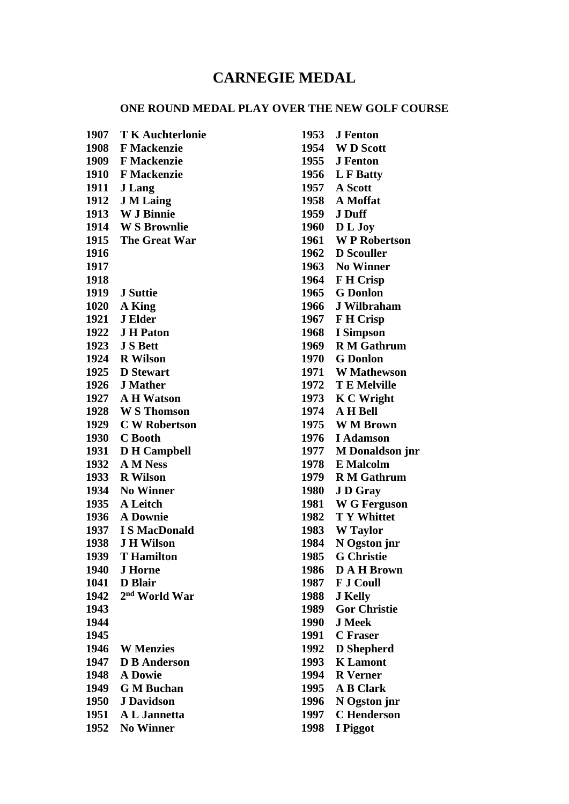## **CARNEGIE MEDAL**

## **ONE ROUND MEDAL PLAY OVER THE NEW GOLF COURSE**

 **T K Auchterlonie F Mackenzie F Mackenzie F Mackenzie J Lang J M Laing W J Binnie W S Brownlie The Great War J Suttie A King J Elder J H Paton J S Bett R Wilson D Stewart J Mather A H Watson W S Thomson C W Robertson C Booth D H Campbell A M Ness R Wilson No Winner A Leitch A Downie 1937 I S MacDonald J H Wilson T Hamilton J Horne D Blair 2 nd World War W Menzies D B Anderson A Dowie G M Buchan J Davidson A L Jannetta No Winner**

 **J Fenton W D Scott J Fenton L F Batty A Scott A Moffat J Duff D L Joy W P Robertson D Scouller No Winner F H Crisp G Donlon J Wilbraham F H Crisp I Simpson R M Gathrum G Donlon W Mathewson T E Melville K C Wright A H Bell W M Brown I Adamson M Donaldson jnr E Malcolm R M Gathrum J D Gray W G Ferguson T Y Whittet W Taylor N Ogston jnr G Christie D A H Brown F J Coull J Kelly Gor Christie J Meek C Fraser D Shepherd K Lamont R Verner A B Clark N Ogston jnr C Henderson I Piggot**